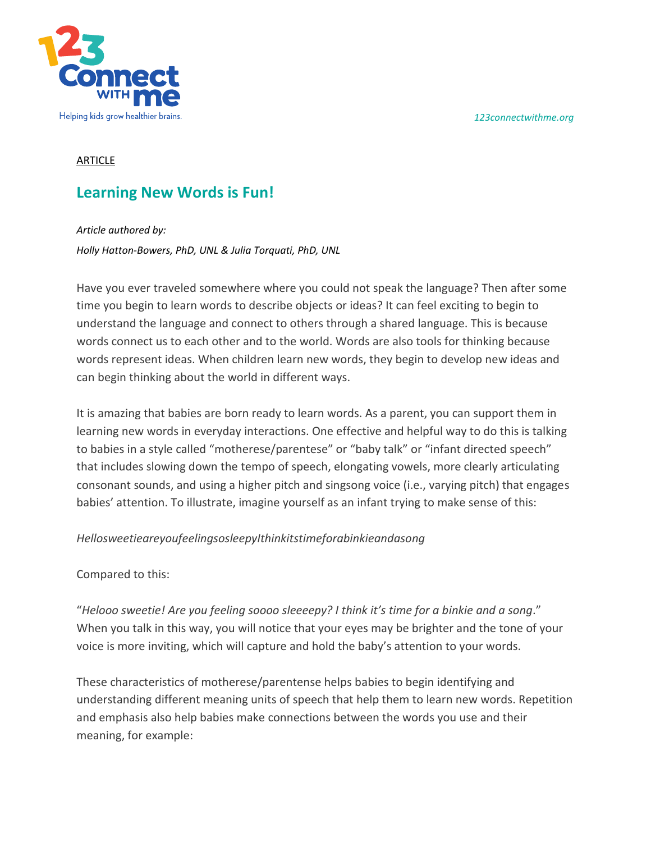*123connectwithme.org*



## ARTICLE

## **Learning New Words is Fun!**

*Article authored by:* 

*Holly Hatton-Bowers, PhD, UNL & Julia Torquati, PhD, UNL*

Have you ever traveled somewhere where you could not speak the language? Then after some time you begin to learn words to describe objects or ideas? It can feel exciting to begin to understand the language and connect to others through a shared language. This is because words connect us to each other and to the world. Words are also tools for thinking because words represent ideas. When children learn new words, they begin to develop new ideas and can begin thinking about the world in different ways.

It is amazing that babies are born ready to learn words. As a parent, you can support them in learning new words in everyday interactions. One effective and helpful way to do this is talking to babies in a style called "motherese/parentese" or "baby talk" or "infant directed speech" that includes slowing down the tempo of speech, elongating vowels, more clearly articulating consonant sounds, and using a higher pitch and singsong voice (i.e., varying pitch) that engages babies' attention. To illustrate, imagine yourself as an infant trying to make sense of this:

## *HellosweetieareyoufeelingsosleepyIthinkitstimeforabinkieandasong*

Compared to this:

"*Helooo sweetie! Are you feeling soooo sleeeepy? I think it's time for a binkie and a song*." When you talk in this way, you will notice that your eyes may be brighter and the tone of your voice is more inviting, which will capture and hold the baby's attention to your words.

These characteristics of motherese/parentense helps babies to begin identifying and understanding different meaning units of speech that help them to learn new words. Repetition and emphasis also help babies make connections between the words you use and their meaning, for example: